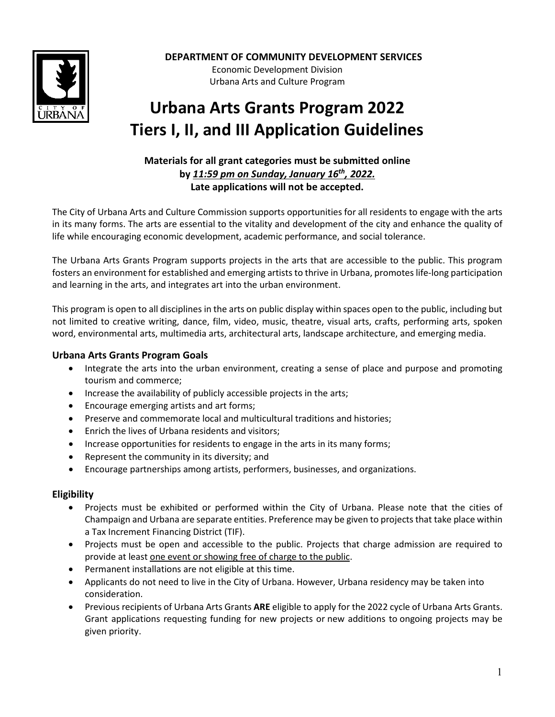

**DEPARTMENT OF COMMUNITY DEVELOPMENT SERVICES**

Economic Development Division Urbana Arts and Culture Program

# **Urbana Arts Grants Program 2022 Tiers I, II, and III Application Guidelines**

# **Materials for all grant categories must be submitted online by** *11:59 pm on Sunday, January 16th, 2022.* **Late applications will not be accepted.**

The City of Urbana Arts and Culture Commission supports opportunities for all residents to engage with the arts in its many forms. The arts are essential to the vitality and development of the city and enhance the quality of life while encouraging economic development, academic performance, and social tolerance.

The Urbana Arts Grants Program supports projects in the arts that are accessible to the public. This program fosters an environment for established and emerging artists to thrive in Urbana, promotes life-long participation and learning in the arts, and integrates art into the urban environment.

This program is open to all disciplines in the arts on public display within spaces open to the public, including but not limited to creative writing, dance, film, video, music, theatre, visual arts, crafts, performing arts, spoken word, environmental arts, multimedia arts, architectural arts, landscape architecture, and emerging media.

# **Urbana Arts Grants Program Goals**

- Integrate the arts into the urban environment, creating a sense of place and purpose and promoting tourism and commerce;
- Increase the availability of publicly accessible projects in the arts;
- Encourage emerging artists and art forms;
- Preserve and commemorate local and multicultural traditions and histories;
- Enrich the lives of Urbana residents and visitors;
- Increase opportunities for residents to engage in the arts in its many forms;
- Represent the community in its diversity; and
- Encourage partnerships among artists, performers, businesses, and organizations.

## **Eligibility**

- Projects must be exhibited or performed within the City of Urbana. Please note that the cities of Champaign and Urbana are separate entities. Preference may be given to projects that take place within a Tax Increment Financing District (TIF).
- Projects must be open and accessible to the public. Projects that charge admission are required to provide at least one event or showing free of charge to the public.
- Permanent installations are not eligible at this time.
- Applicants do not need to live in the City of Urbana. However, Urbana residency may be taken into consideration.
- Previous recipients of Urbana Arts Grants **ARE** eligible to apply for the 2022 cycle of Urbana Arts Grants. Grant applications requesting funding for new projects or new additions to ongoing projects may be given priority.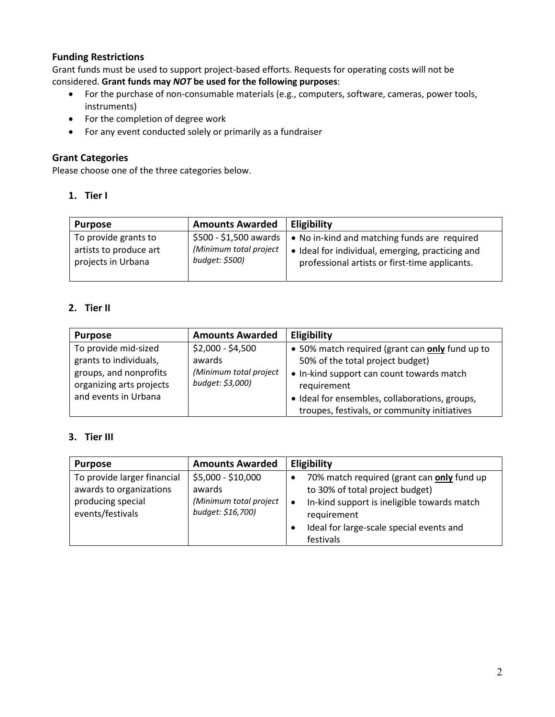# **Funding Restrictions**

Grant funds must be used to support project-based efforts. Requests for operating costs will not be considered. **Grant funds may** *NOT* **be used for the following purposes**:

- For the purchase of non-consumable materials (e.g., computers, software, cameras, power tools, instruments)
- For the completion of degree work
- For any event conducted solely or primarily as a fundraiser

# **Grant Categories**

Please choose one of the three categories below.

# **1. Tier I**

| <b>Purpose</b>         | <b>Amounts Awarded</b> | <b>Eligibility</b>                               |
|------------------------|------------------------|--------------------------------------------------|
| To provide grants to   | \$500 - \$1,500 awards | • No in-kind and matching funds are required     |
| artists to produce art | (Minimum total project | • Ideal for individual, emerging, practicing and |
| projects in Urbana     | budget: \$500)         | professional artists or first-time applicants.   |

# **2. Tier II**

| <b>Purpose</b>                                                                                                               | <b>Amounts Awarded</b>                                                    | Eligibility                                                                                                                                                                                       |
|------------------------------------------------------------------------------------------------------------------------------|---------------------------------------------------------------------------|---------------------------------------------------------------------------------------------------------------------------------------------------------------------------------------------------|
| To provide mid-sized<br>grants to individuals,<br>groups, and nonprofits<br>organizing arts projects<br>and events in Urbana | $$2,000 - $4,500$<br>awards<br>(Minimum total project<br>budget: \$3,000) | • 50% match required (grant can only fund up to<br>50% of the total project budget)<br>• In-kind support can count towards match<br>requirement<br>· Ideal for ensembles, collaborations, groups, |
|                                                                                                                              |                                                                           | troupes, festivals, or community initiatives                                                                                                                                                      |

## **3. Tier III**

| <b>Purpose</b>                                                                                  | <b>Amounts Awarded</b>                                                      | Eligibility                                                                                                                                                                                          |
|-------------------------------------------------------------------------------------------------|-----------------------------------------------------------------------------|------------------------------------------------------------------------------------------------------------------------------------------------------------------------------------------------------|
| To provide larger financial<br>awards to organizations<br>producing special<br>events/festivals | \$5,000 - \$10,000<br>awards<br>(Minimum total project<br>budget: \$16,700) | 70% match required (grant can only fund up<br>to 30% of total project budget)<br>In-kind support is ineligible towards match<br>requirement<br>Ideal for large-scale special events and<br>festivals |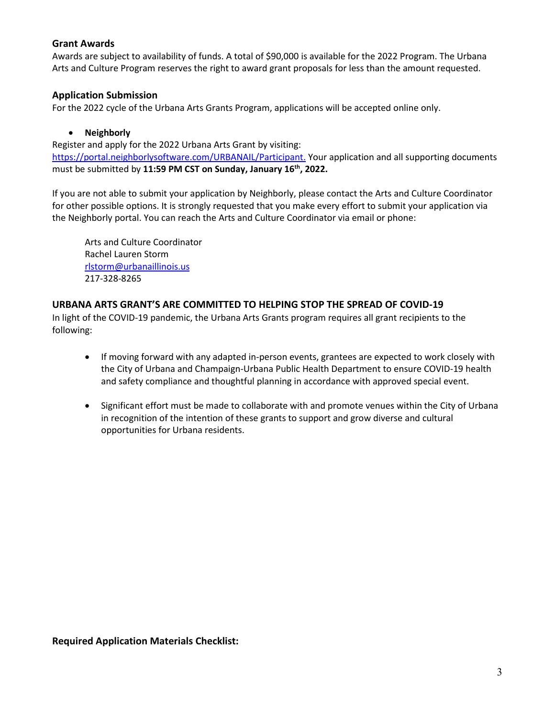# **Grant Awards**

Awards are subject to availability of funds. A total of \$90,000 is available for the 2022 Program. The Urbana Arts and Culture Program reserves the right to award grant proposals for less than the amount requested.

# **Application Submission**

For the 2022 cycle of the Urbana Arts Grants Program, applications will be accepted online only.

#### • **Neighborly**

Register and apply for the 2022 Urbana Arts Grant by visiting: [https://portal.neighborlysoftware.com/URBANAIL/Participant.](https://portal.neighborlysoftware.com/URBANAIL/Participant) Your application and all supporting documents must be submitted by **11:59 PM CST on Sunday, January 16th, 2022.**

If you are not able to submit your application by Neighborly, please contact the Arts and Culture Coordinator for other possible options. It is strongly requested that you make every effort to submit your application via the Neighborly portal. You can reach the Arts and Culture Coordinator via email or phone:

Arts and Culture Coordinator Rachel Lauren Storm [rlstorm@urbanaillinois.us](mailto:rlstorm@urbanaillinois.us) 217-328-8265

# **URBANA ARTS GRANT'S ARE COMMITTED TO HELPING STOP THE SPREAD OF COVID-19**

In light of the COVID-19 pandemic, the Urbana Arts Grants program requires all grant recipients to the following:

- If moving forward with any adapted in-person events, grantees are expected to work closely with the City of Urbana and Champaign-Urbana Public Health Department to ensure COVID-19 health and safety compliance and thoughtful planning in accordance with approved special event.
- Significant effort must be made to collaborate with and promote venues within the City of Urbana in recognition of the intention of these grants to support and grow diverse and cultural opportunities for Urbana residents.

**Required Application Materials Checklist:**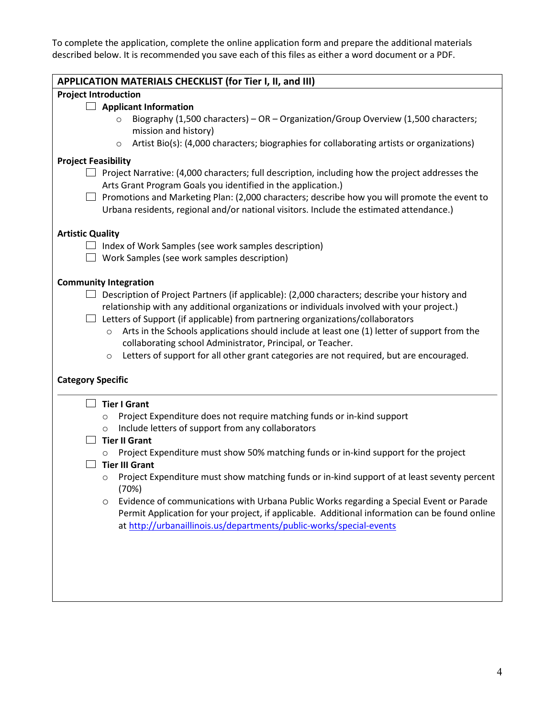To complete the application, complete the online application form and prepare the additional materials described below. It is recommended you save each of this files as either a word document or a PDF.

| APPLICATION MATERIALS CHECKLIST (for Tier I, II, and III)                                                         |  |  |  |
|-------------------------------------------------------------------------------------------------------------------|--|--|--|
| <b>Project Introduction</b>                                                                                       |  |  |  |
| <b>Applicant Information</b>                                                                                      |  |  |  |
| Biography (1,500 characters) - OR - Organization/Group Overview (1,500 characters;<br>$\circ$                     |  |  |  |
| mission and history)                                                                                              |  |  |  |
| Artist Bio(s): (4,000 characters; biographies for collaborating artists or organizations)<br>$\circ$              |  |  |  |
| <b>Project Feasibility</b>                                                                                        |  |  |  |
| Project Narrative: (4,000 characters; full description, including how the project addresses the                   |  |  |  |
| Arts Grant Program Goals you identified in the application.)                                                      |  |  |  |
| $\Box$ Promotions and Marketing Plan: (2,000 characters; describe how you will promote the event to               |  |  |  |
| Urbana residents, regional and/or national visitors. Include the estimated attendance.)                           |  |  |  |
|                                                                                                                   |  |  |  |
| <b>Artistic Quality</b>                                                                                           |  |  |  |
| $\Box$ Index of Work Samples (see work samples description)<br>$\Box$ Work Samples (see work samples description) |  |  |  |
|                                                                                                                   |  |  |  |
| <b>Community Integration</b>                                                                                      |  |  |  |
| Description of Project Partners (if applicable): (2,000 characters; describe your history and                     |  |  |  |
| relationship with any additional organizations or individuals involved with your project.)                        |  |  |  |
| Letters of Support (if applicable) from partnering organizations/collaborators                                    |  |  |  |
| Arts in the Schools applications should include at least one (1) letter of support from the<br>$\circ$            |  |  |  |
| collaborating school Administrator, Principal, or Teacher.                                                        |  |  |  |
| Letters of support for all other grant categories are not required, but are encouraged.<br>$\circ$                |  |  |  |
|                                                                                                                   |  |  |  |
| <b>Category Specific</b>                                                                                          |  |  |  |
| <b>Tier I Grant</b><br>$\mathsf{L}$                                                                               |  |  |  |
| Project Expenditure does not require matching funds or in-kind support<br>$\circ$                                 |  |  |  |
| Include letters of support from any collaborators<br>$\circ$                                                      |  |  |  |
| $\Box$ Tier II Grant                                                                                              |  |  |  |
| Project Expenditure must show 50% matching funds or in-kind support for the project                               |  |  |  |
| <b>Tier III Grant</b>                                                                                             |  |  |  |
| Project Expenditure must show matching funds or in-kind support of at least seventy percent<br>О                  |  |  |  |
| (70%)                                                                                                             |  |  |  |
| Evidence of communications with Urbana Public Works regarding a Special Event or Parade<br>O                      |  |  |  |
| Permit Application for your project, if applicable. Additional information can be found online                    |  |  |  |
| at http://urbanaillinois.us/departments/public-works/special-events                                               |  |  |  |
|                                                                                                                   |  |  |  |
|                                                                                                                   |  |  |  |
|                                                                                                                   |  |  |  |
|                                                                                                                   |  |  |  |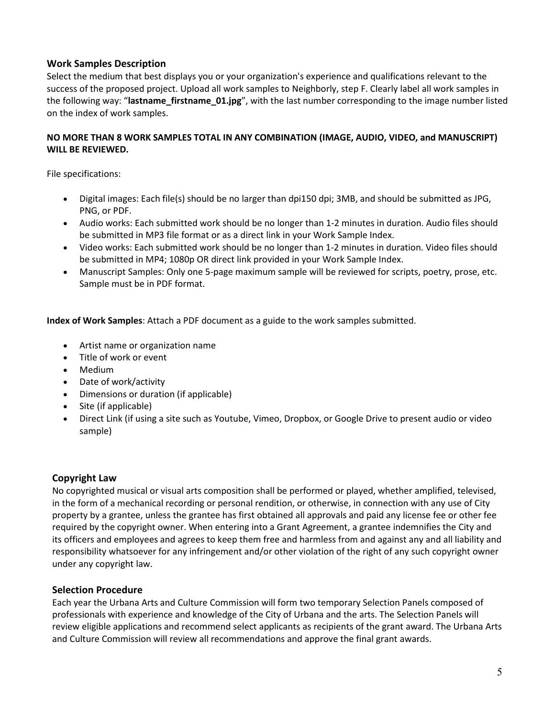## **Work Samples Description**

Select the medium that best displays you or your organization's experience and qualifications relevant to the success of the proposed project. Upload all work samples to Neighborly, step F. Clearly label all work samples in the following way: "**lastname\_firstname\_01.jpg**", with the last number corresponding to the image number listed on the index of work samples.

#### **NO MORE THAN 8 WORK SAMPLES TOTAL IN ANY COMBINATION (IMAGE, AUDIO, VIDEO, and MANUSCRIPT) WILL BE REVIEWED.**

File specifications:

- Digital images: Each file(s) should be no larger than dpi150 dpi; 3MB, and should be submitted as JPG, PNG, or PDF.
- Audio works: Each submitted work should be no longer than 1-2 minutes in duration. Audio files should be submitted in MP3 file format or as a direct link in your Work Sample Index.
- Video works: Each submitted work should be no longer than 1-2 minutes in duration. Video files should be submitted in MP4; 1080p OR direct link provided in your Work Sample Index.
- Manuscript Samples: Only one 5-page maximum sample will be reviewed for scripts, poetry, prose, etc. Sample must be in PDF format.

**Index of Work Samples**: Attach a PDF document as a guide to the work samples submitted.

- Artist name or organization name
- Title of work or event
- Medium
- Date of work/activity
- Dimensions or duration (if applicable)
- Site (if applicable)
- Direct Link (if using a site such as Youtube, Vimeo, Dropbox, or Google Drive to present audio or video sample)

## **Copyright Law**

No copyrighted musical or visual arts composition shall be performed or played, whether amplified, televised, in the form of a mechanical recording or personal rendition, or otherwise, in connection with any use of City property by a grantee, unless the grantee has first obtained all approvals and paid any license fee or other fee required by the copyright owner. When entering into a Grant Agreement, a grantee indemnifies the City and its officers and employees and agrees to keep them free and harmless from and against any and all liability and responsibility whatsoever for any infringement and/or other violation of the right of any such copyright owner under any copyright law.

## **Selection Procedure**

Each year the Urbana Arts and Culture Commission will form two temporary Selection Panels composed of professionals with experience and knowledge of the City of Urbana and the arts. The Selection Panels will review eligible applications and recommend select applicants as recipients of the grant award. The Urbana Arts and Culture Commission will review all recommendations and approve the final grant awards.